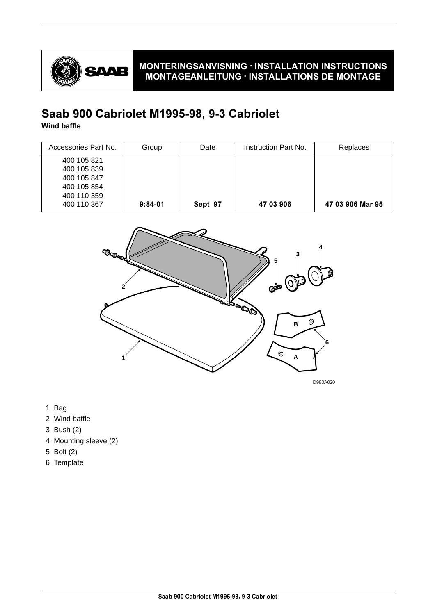

## MONTERINGSANVISNING · INSTALLATION INSTRUCTIONS  $MONTAGEANLEITUNG \cdot INSTALLATIONS DE MONTAGE$

# Saab 900 Cabriolet M1995-98, 9-3 Cabriolet

Wind baffle

| Accessories Part No. | Group     | Date    | Instruction Part No. | Replaces         |
|----------------------|-----------|---------|----------------------|------------------|
| 400 105 821          |           |         |                      |                  |
| 400 105 839          |           |         |                      |                  |
| 400 105 847          |           |         |                      |                  |
| 400 105 854          |           |         |                      |                  |
| 400 110 359          |           |         |                      |                  |
| 400 110 367          | $9:84-01$ | Sept 97 | 47 03 906            | 47 03 906 Mar 95 |



D980A020

- 1 Bag
- 2 Wind baffle
- 3 Bush (2)
- 4 Mounting sleeve (2)
- 5 Bolt (2)
- 6 Template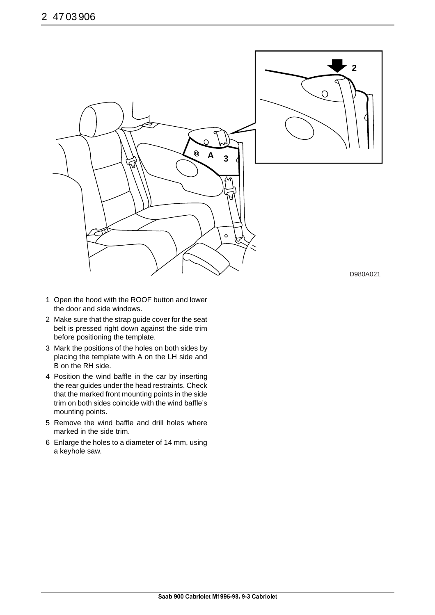

- 1 Open the hood with the ROOF button and lower the door and side windows.
- 2 Make sure that the strap guide cover for the seat belt is pressed right down against the side trim before positioning the template.
- 3 Mark the positions of the holes on both sides by placing the template with A on the LH side and B on the RH side.
- 4 Position the wind baffle in the car by inserting the rear guides under the head restraints. Check that the marked front mounting points in the side trim on both sides coincide with the wind baffle's mounting points.
- 5 Remove the wind baffle and drill holes where marked in the side trim.
- 6 Enlarge the holes to a diameter of 14 mm, using a keyhole saw.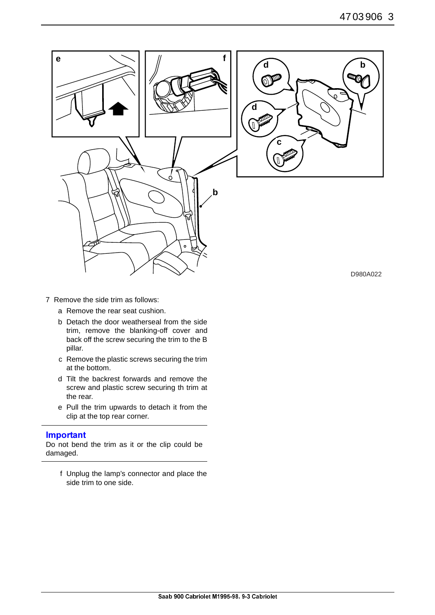

- 7 Remove the side trim as follows:
	- a Remove the rear seat cushion.
	- b Detach the door weatherseal from the side trim, remove the blanking-off cover and back off the screw securing the trim to the B pillar.
	- c Remove the plastic screws securing the trim at the bottom.
	- d Tilt the backrest forwards and remove the screw and plastic screw securing th trim at the rear.
	- e Pull the trim upwards to detach it from the clip at the top rear corner.

#### Important

Do not bend the trim as it or the clip could be damaged.

f Unplug the lamp's connector and place the side trim to one side.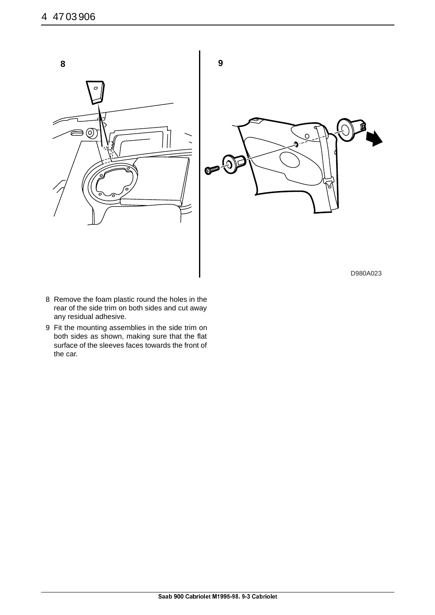

- 8 Remove the foam plastic round the holes in the rear of the side trim on both sides and cut away any residual adhesive.
- 9 Fit the mounting assemblies in the side trim on both sides as shown, making sure that the flat surface of the sleeves faces towards the front of the car.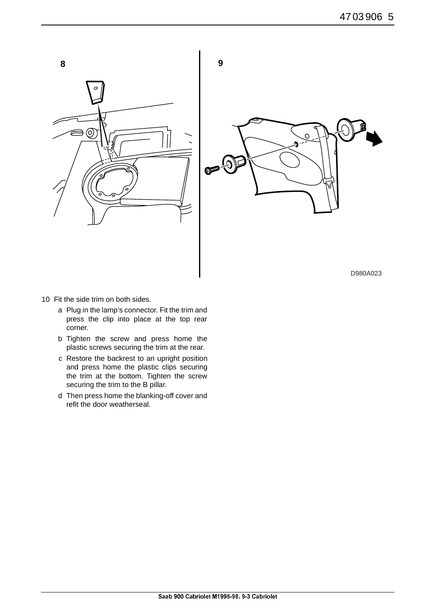

- 10 Fit the side trim on both sides.
	- a Plug in the lamp's connector. Fit the trim and press the clip into place at the top rear corner.
	- b Tighten the screw and press home the plastic screws securing the trim at the rear.
	- c Restore the backrest to an upright position and press home the plastic clips securing the trim at the bottom. Tighten the screw securing the trim to the B pillar.
	- d Then press home the blanking-off cover and refit the door weatherseal.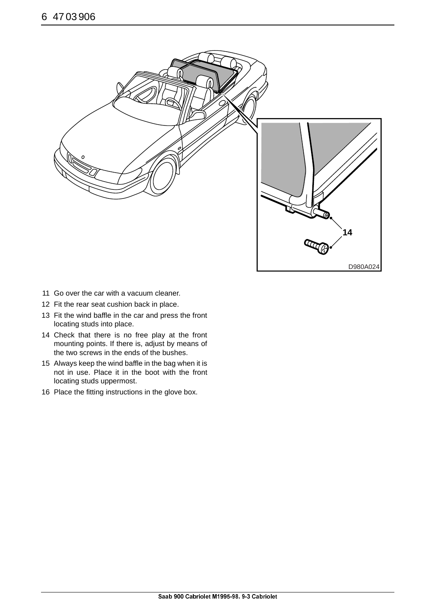

- 11 Go over the car with a vacuum cleaner.
- 12 Fit the rear seat cushion back in place.
- 13 Fit the wind baffle in the car and press the front locating studs into place.
- 14 Check that there is no free play at the front mounting points. If there is, adjust by means of the two screws in the ends of the bushes.
- 15 Always keep the wind baffle in the bag when it is not in use. Place it in the boot with the front locating studs uppermost.
- 16 Place the fitting instructions in the glove box.